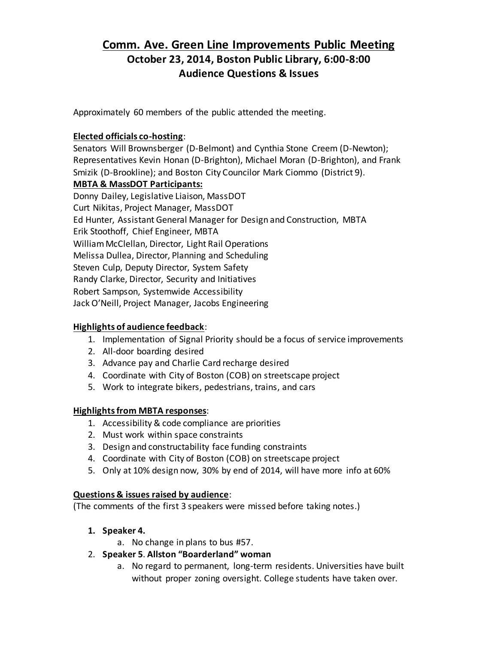# **Comm. Ave. Green Line Improvements Public Meeting October 23, 2014, Boston Public Library, 6:00-8:00 Audience Questions & Issues**

Approximately 60 members of the public attended the meeting.

### **Elected officials co-hosting**:

Senators Will Brownsberger (D-Belmont) and Cynthia Stone Creem (D-Newton); Representatives Kevin Honan (D-Brighton), Michael Moran (D-Brighton), and Frank Smizik (D-Brookline); and Boston City Councilor Mark Ciommo (District 9).

### **MBTA & MassDOT Participants:**

Donny Dailey, Legislative Liaison, MassDOT Curt Nikitas, Project Manager, MassDOT Ed Hunter, Assistant General Manager for Design and Construction, MBTA Erik Stoothoff, Chief Engineer, MBTA William McClellan, Director, Light Rail Operations Melissa Dullea, Director, Planning and Scheduling Steven Culp, Deputy Director, System Safety Randy Clarke, Director, Security and Initiatives Robert Sampson, Systemwide Accessibility Jack O'Neill, Project Manager, Jacobs Engineering

## **Highlights of audience feedback**:

- 1. Implementation of Signal Priority should be a focus of service improvements
- 2. All-door boarding desired
- 3. Advance pay and Charlie Card recharge desired
- 4. Coordinate with City of Boston (COB) on streetscape project
- 5. Work to integrate bikers, pedestrians, trains, and cars

### **Highlights from MBTA responses**:

- 1. Accessibility & code compliance are priorities
- 2. Must work within space constraints
- 3. Design and constructability face funding constraints
- 4. Coordinate with City of Boston (COB) on streetscape project
- 5. Only at 10% design now, 30% by end of 2014, will have more info at 60%

### **Questions & issues raised by audience**:

(The comments of the first 3 speakers were missed before taking notes.)

- **1. Speaker 4.**
	- a. No change in plans to bus #57.
- 2. **Speaker 5**. **Allston "Boarderland" woman**
	- a. No regard to permanent, long-term residents. Universities have built without proper zoning oversight. College students have taken over.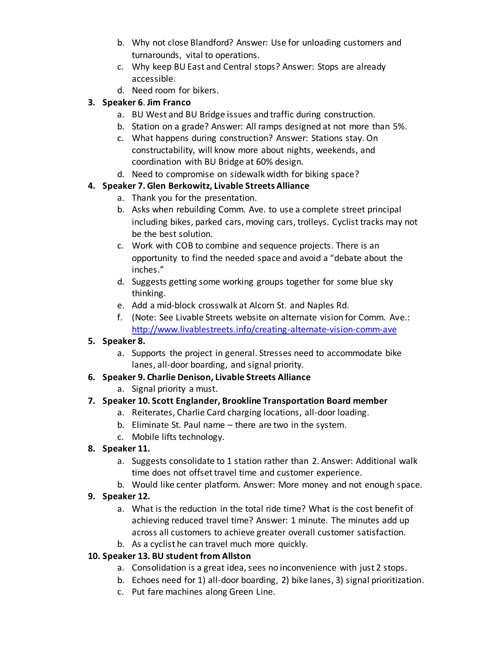- b. Why not close Blandford? Answer: Use for unloading customers and turnarounds, vital to operations.
- c. Why keep BU East and Central stops? Answer: Stops are already accessible.
- d. Need room for bikers.

# **3. Speaker 6**. **Jim Franco**

- a. BU West and BU Bridge issues and traffic during construction.
- b. Station on a grade? Answer: All ramps designed at not more than 5%.
- c. What happens during construction? Answer: Stations stay. On constructability, will know more about nights, weekends, and coordination with BU Bridge at 60% design.
- d. Need to compromise on sidewalk width for biking space?

# **4. Speaker 7. Glen Berkowitz, Livable Streets Alliance**

- a. Thank you for the presentation.
- b. Asks when rebuilding Comm. Ave. to use a complete street principal including bikes, parked cars, moving cars, trolleys. Cyclist tracks may not be the best solution.
- c. Work with COB to combine and sequence projects. There is an opportunity to find the needed space and avoid a "debate about the inches."
- d. Suggests getting some working groups together for some blue sky thinking.
- e. Add a mid-block crosswalk at Alcorn St. and Naples Rd.
- f. (Note: See Livable Streets website on alternate vision for Comm. Ave.: <http://www.livablestreets.info/creating-alternate-vision-comm-ave>

# **5. Speaker 8.**

a. Supports the project in general. Stresses need to accommodate bike lanes, all-door boarding, and signal priority.

### **6. Speaker 9. Charlie Denison, Livable Streets Alliance**

a. Signal priority a must.

# **7. Speaker 10. Scott Englander, Brookline Transportation Board member**

- a. Reiterates, Charlie Card charging locations, all-door loading.
- b. Eliminate St. Paul name there are two in the system.
- c. Mobile lifts technology.

# **8. Speaker 11.**

- a. Suggests consolidate to 1 station rather than 2. Answer: Additional walk time does not offset travel time and customer experience.
- b. Would like center platform. Answer: More money and not enough space.

# **9. Speaker 12.**

- a. What is the reduction in the total ride time? What is the cost benefit of achieving reduced travel time? Answer: 1 minute. The minutes add up across all customers to achieve greater overall customer satisfaction.
- b. As a cyclist he can travel much more quickly.

# **10. Speaker 13. BU student from Allston**

- a. Consolidation is a great idea, sees no inconvenience with just 2 stops.
- b. Echoes need for 1) all-door boarding, 2) bike lanes, 3) signal prioritization.
- c. Put fare machines along Green Line.